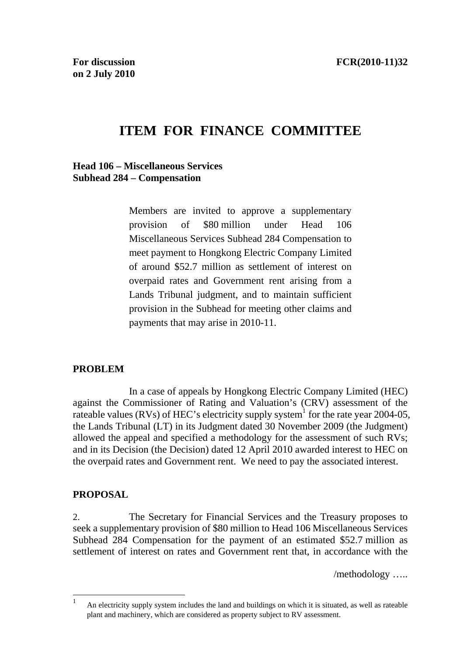# **ITEM FOR FINANCE COMMITTEE**

**Head 106 – Miscellaneous Services Subhead 284 – Compensation** 

> Members are invited to approve a supplementary provision of \$80 million under Head 106 Miscellaneous Services Subhead 284 Compensation to meet payment to Hongkong Electric Company Limited of around \$52.7 million as settlement of interest on overpaid rates and Government rent arising from a Lands Tribunal judgment, and to maintain sufficient provision in the Subhead for meeting other claims and payments that may arise in 2010-11.

### **PROBLEM**

 In a case of appeals by Hongkong Electric Company Limited (HEC) against the Commissioner of Rating and Valuation's (CRV) assessment of the rateable values (RVs) of HEC's electricity supply system<sup>1</sup> for the rate year 2004-05, the Lands Tribunal (LT) in its Judgment dated 30 November 2009 (the Judgment) allowed the appeal and specified a methodology for the assessment of such RVs; and in its Decision (the Decision) dated 12 April 2010 awarded interest to HEC on the overpaid rates and Government rent. We need to pay the associated interest.

### **PROPOSAL**

2. The Secretary for Financial Services and the Treasury proposes to seek a supplementary provision of \$80 million to Head 106 Miscellaneous Services Subhead 284 Compensation for the payment of an estimated \$52.7 million as settlement of interest on rates and Government rent that, in accordance with the

/methodology …..

 $\overline{1}$ <sup>1</sup> An electricity supply system includes the land and buildings on which it is situated, as well as rateable plant and machinery, which are considered as property subject to RV assessment.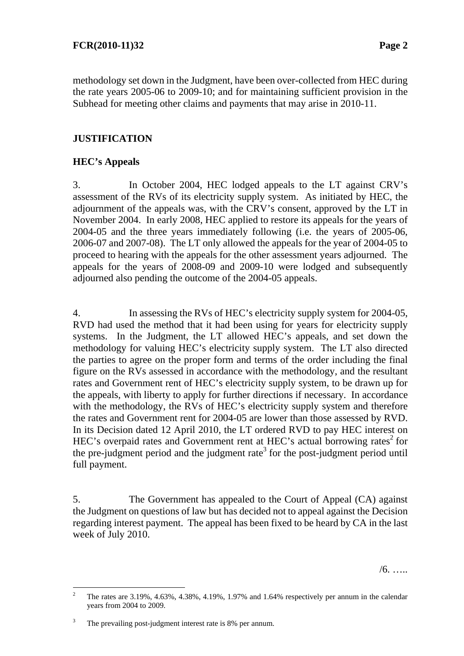methodology set down in the Judgment, have been over-collected from HEC during the rate years 2005-06 to 2009-10; and for maintaining sufficient provision in the Subhead for meeting other claims and payments that may arise in 2010-11.

# **JUSTIFICATION**

# **HEC's Appeals**

3. In October 2004, HEC lodged appeals to the LT against CRV's assessment of the RVs of its electricity supply system. As initiated by HEC, the adjournment of the appeals was, with the CRV's consent, approved by the LT in November 2004. In early 2008, HEC applied to restore its appeals for the years of 2004-05 and the three years immediately following (i.e. the years of 2005-06, 2006-07 and 2007-08). The LT only allowed the appeals for the year of 2004-05 to proceed to hearing with the appeals for the other assessment years adjourned. The appeals for the years of 2008-09 and 2009-10 were lodged and subsequently adjourned also pending the outcome of the 2004-05 appeals.

4. In assessing the RVs of HEC's electricity supply system for 2004-05, RVD had used the method that it had been using for years for electricity supply systems. In the Judgment, the LT allowed HEC's appeals, and set down the methodology for valuing HEC's electricity supply system. The LT also directed the parties to agree on the proper form and terms of the order including the final figure on the RVs assessed in accordance with the methodology, and the resultant rates and Government rent of HEC's electricity supply system, to be drawn up for the appeals, with liberty to apply for further directions if necessary. In accordance with the methodology, the RVs of HEC's electricity supply system and therefore the rates and Government rent for 2004-05 are lower than those assessed by RVD. In its Decision dated 12 April 2010, the LT ordered RVD to pay HEC interest on HEC's overpaid rates and Government rent at HEC's actual borrowing rates<sup>2</sup> for the pre-judgment period and the judgment rate<sup>3</sup> for the post-judgment period until full payment.

5. The Government has appealed to the Court of Appeal (CA) against the Judgment on questions of law but has decided not to appeal against the Decision regarding interest payment. The appeal has been fixed to be heard by CA in the last week of July 2010.

 $/6.$  …

 $\overline{a}$ 

<sup>2</sup> The rates are 3.19%, 4.63%, 4.38%, 4.19%, 1.97% and 1.64% respectively per annum in the calendar years from 2004 to 2009.

<sup>3</sup> The prevailing post-judgment interest rate is 8% per annum.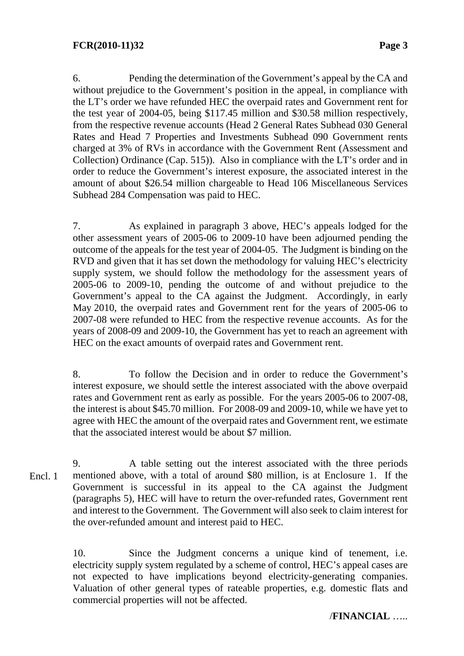6. Pending the determination of the Government's appeal by the CA and without prejudice to the Government's position in the appeal, in compliance with the LT's order we have refunded HEC the overpaid rates and Government rent for the test year of 2004-05, being \$117.45 million and \$30.58 million respectively, from the respective revenue accounts (Head 2 General Rates Subhead 030 General Rates and Head 7 Properties and Investments Subhead 090 Government rents charged at 3% of RVs in accordance with the Government Rent (Assessment and Collection) Ordinance (Cap. 515)). Also in compliance with the LT's order and in order to reduce the Government's interest exposure, the associated interest in the amount of about \$26.54 million chargeable to Head 106 Miscellaneous Services Subhead 284 Compensation was paid to HEC.

7. As explained in paragraph 3 above, HEC's appeals lodged for the other assessment years of 2005-06 to 2009-10 have been adjourned pending the outcome of the appeals for the test year of 2004-05. The Judgment is binding on the RVD and given that it has set down the methodology for valuing HEC's electricity supply system, we should follow the methodology for the assessment years of 2005-06 to 2009-10, pending the outcome of and without prejudice to the Government's appeal to the CA against the Judgment. Accordingly, in early May 2010, the overpaid rates and Government rent for the years of 2005-06 to 2007-08 were refunded to HEC from the respective revenue accounts. As for the years of 2008-09 and 2009-10, the Government has yet to reach an agreement with HEC on the exact amounts of overpaid rates and Government rent.

8. To follow the Decision and in order to reduce the Government's interest exposure, we should settle the interest associated with the above overpaid rates and Government rent as early as possible. For the years 2005-06 to 2007-08, the interest is about \$45.70 million. For 2008-09 and 2009-10, while we have yet to agree with HEC the amount of the overpaid rates and Government rent, we estimate that the associated interest would be about \$7 million.

9. A table setting out the interest associated with the three periods mentioned above, with a total of around \$80 million, is at Enclosure 1. If the Government is successful in its appeal to the CA against the Judgment (paragraphs 5), HEC will have to return the over-refunded rates, Government rent and interest to the Government. The Government will also seek to claim interest for the over-refunded amount and interest paid to HEC. Encl. 1

> 10. Since the Judgment concerns a unique kind of tenement, i.e. electricity supply system regulated by a scheme of control, HEC's appeal cases are not expected to have implications beyond electricity-generating companies. Valuation of other general types of rateable properties, e.g. domestic flats and commercial properties will not be affected.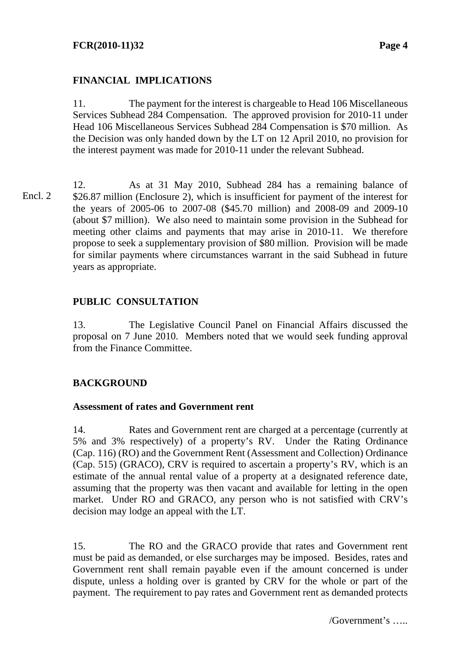# **FINANCIAL IMPLICATIONS**

11. The payment for the interest is chargeable to Head 106 Miscellaneous Services Subhead 284 Compensation. The approved provision for 2010-11 under Head 106 Miscellaneous Services Subhead 284 Compensation is \$70 million. As the Decision was only handed down by the LT on 12 April 2010, no provision for the interest payment was made for 2010-11 under the relevant Subhead.

12. As at 31 May 2010, Subhead 284 has a remaining balance of \$26.87 million (Enclosure 2), which is insufficient for payment of the interest for the years of 2005-06 to 2007-08 (\$45.70 million) and 2008-09 and 2009-10 (about \$7 million). We also need to maintain some provision in the Subhead for meeting other claims and payments that may arise in 2010-11. We therefore propose to seek a supplementary provision of \$80 million. Provision will be made for similar payments where circumstances warrant in the said Subhead in future years as appropriate. Encl. 2

# **PUBLIC CONSULTATION**

13. The Legislative Council Panel on Financial Affairs discussed the proposal on 7 June 2010. Members noted that we would seek funding approval from the Finance Committee.

# **BACKGROUND**

### **Assessment of rates and Government rent**

14. Rates and Government rent are charged at a percentage (currently at 5% and 3% respectively) of a property's RV. Under the Rating Ordinance (Cap. 116) (RO) and the Government Rent (Assessment and Collection) Ordinance (Cap. 515) (GRACO), CRV is required to ascertain a property's RV, which is an estimate of the annual rental value of a property at a designated reference date, assuming that the property was then vacant and available for letting in the open market. Under RO and GRACO, any person who is not satisfied with CRV's decision may lodge an appeal with the LT.

15. The RO and the GRACO provide that rates and Government rent must be paid as demanded, or else surcharges may be imposed. Besides, rates and Government rent shall remain payable even if the amount concerned is under dispute, unless a holding over is granted by CRV for the whole or part of the payment. The requirement to pay rates and Government rent as demanded protects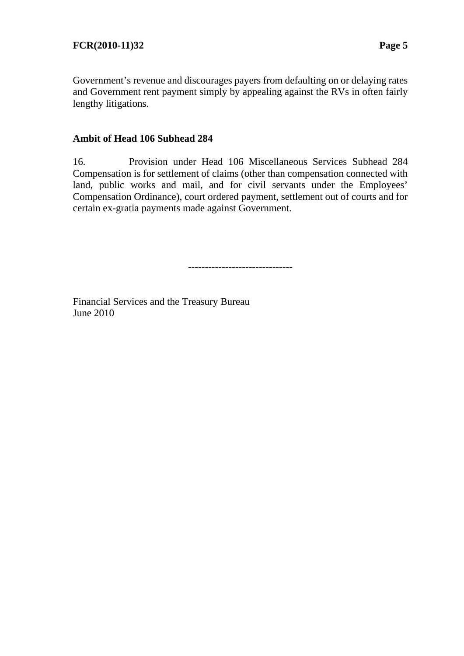Government's revenue and discourages payers from defaulting on or delaying rates and Government rent payment simply by appealing against the RVs in often fairly lengthy litigations.

### **Ambit of Head 106 Subhead 284**

16. Provision under Head 106 Miscellaneous Services Subhead 284 Compensation is for settlement of claims (other than compensation connected with land, public works and mail, and for civil servants under the Employees' Compensation Ordinance), court ordered payment, settlement out of courts and for certain ex-gratia payments made against Government.

-------------------------------

Financial Services and the Treasury Bureau June 2010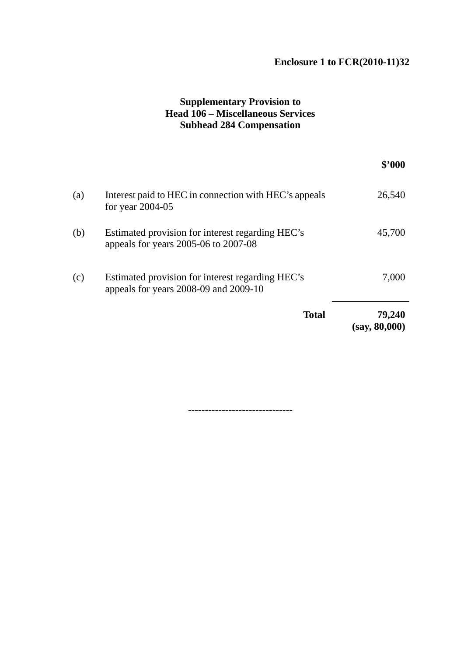# **Enclosure 1 to FCR(2010-11)32**

# **Supplementary Provision to Head 106 – Miscellaneous Services Subhead 284 Compensation**

|     |                                                                                           | \$3000                  |
|-----|-------------------------------------------------------------------------------------------|-------------------------|
| (a) | Interest paid to HEC in connection with HEC's appeals<br>for year $2004-05$               | 26,540                  |
| (b) | Estimated provision for interest regarding HEC's<br>appeals for years 2005-06 to 2007-08  | 45,700                  |
| (c) | Estimated provision for interest regarding HEC's<br>appeals for years 2008-09 and 2009-10 | 7,000                   |
|     | <b>Total</b>                                                                              | 79,240<br>(say, 80,000) |

-------------------------------